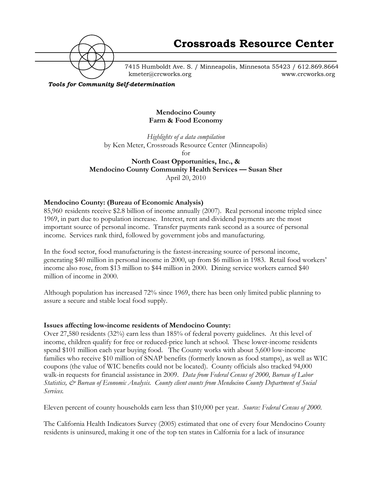

7415 Humboldt Ave. S. / Minneapolis, Minnesota 55423 / 612.869.8664 kmeter@crcworks.org www.crcworks.org

*Tools for Community Self-determination*

## **Mendocino County Farm & Food Economy**

*Highlights of a data compilation* by Ken Meter, Crossroads Resource Center (Minneapolis) for **North Coast Opportunities, Inc., & Mendocino County Community Health Services — Susan Sher** April 20, 2010

## **Mendocino County: (Bureau of Economic Analysis)**

85,960 residents receive \$2.8 billion of income annually (2007). Real personal income tripled since 1969, in part due to population increase. Interest, rent and dividend payments are the most important source of personal income. Transfer payments rank second as a source of personal income. Services rank third, followed by government jobs and manufacturing.

In the food sector, food manufacturing is the fastest-increasing source of personal income, generating \$40 million in personal income in 2000, up from \$6 million in 1983. Retail food workers' income also rose, from \$13 million to \$44 million in 2000. Dining service workers earned \$40 million of income in 2000.

Although population has increased 72% since 1969, there has been only limited public planning to assure a secure and stable local food supply.

## **Issues affecting low-income residents of Mendocino County:**

Over 27,580 residents (32%) earn less than 185% of federal poverty guidelines. At this level of income, children qualify for free or reduced-price lunch at school. These lower-income residents spend \$101 million each year buying food. The County works with about 5,600 low-income families who receive \$10 million of SNAP benefits (formerly known as food stamps), as well as WIC coupons (the value of WIC benefits could not be located). County officials also tracked 94,000 walk-in requests for financial assistance in 2009. *Data from Federal Census of 2000, Bureau of Labor Statistics, & Bureau of Economic Analysis. County client counts from Mendocino County Department of Social Services.*

Eleven percent of county households earn less than \$10,000 per year. *Source: Federal Census of 2000.*

The California Health Indicators Survey (2005) estimated that one of every four Mendocino County residents is uninsured, making it one of the top ten states in Calfornia for a lack of insurance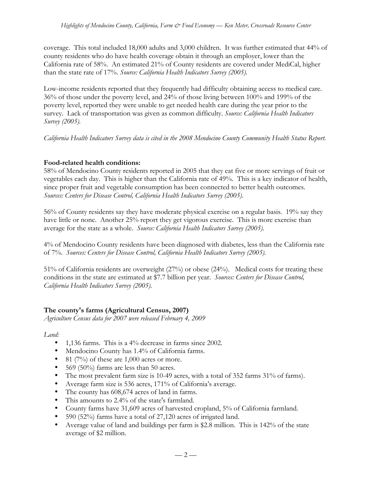coverage. This total included 18,000 adults and 3,000 children. It was further estimated that 44% of county residents who do have health coverage obtain it through an employer, lower than the California rate of 58%. An estimated 21% of County residents are covered under MediCal, higher than the state rate of 17%. *Source: California Health Indicators Survey (2005).*

Low-income residents reported that they frequently had difficulty obtaining access to medical care. 36% of those under the poverty level, and 24% of those living between 100% and 199% of the poverty level, reported they were unable to get needed health care during the year prior to the survey. Lack of transportation was given as common difficulty. *Source: California Health Indicators Survey (2005).*

*California Health Indicators Survey data is cited in the 2008 Mendocino County Community Health Status Report.*

# **Food-related health conditions:**

58% of Mendocino County residents reported in 2005 that they eat five or more servings of fruit or vegetables each day. This is higher than the California rate of 49%. This is a key indicator of health, since proper fruit and vegetable consumption has been connected to better health outcomes. *Sources: Centers for Disease Control, California Health Indicators Survey (2005).*

56% of County residents say they have moderate physical exercise on a regular basis. 19% say they have little or none. Another 25% report they get vigorous exercise. This is more exercise than average for the state as a whole. *Source: California Health Indicators Survey (2005).*

4% of Mendocino County residents have been diagnosed with diabetes, less than the California rate of 7%. *Sources: Centers for Disease Control, California Health Indicators Survey (2005).*

51% of California residents are overweight (27%) or obese (24%). Medical costs for treating these conditions in the state are estimated at \$7.7 billion per year. *Sources: Centers for Disease Control, California Health Indicators Survey (2005).*

# **The county's farms (Agricultural Census, 2007)**

*Agriculture Census data for 2007 were released February 4, 2009*

*Land:*

- 1,136 farms. This is a 4% decrease in farms since 2002.
- Mendocino County has 1.4% of California farms.
- 81 (7%) of these are  $1,000$  acres or more.
- 569 (50%) farms are less than 50 acres.
- The most prevalent farm size is 10-49 acres, with a total of 352 farms 31% of farms).
- Average farm size is 536 acres, 171% of California's average.
- The county has 608,674 acres of land in farms.
- This amounts to 2.4% of the state's farmland.
- County farms have 31,609 acres of harvested cropland, 5% of California farmland.
- 590 (52%) farms have a total of 27,120 acres of irrigated land.
- Average value of land and buildings per farm is \$2.8 million. This is 142% of the state average of \$2 million.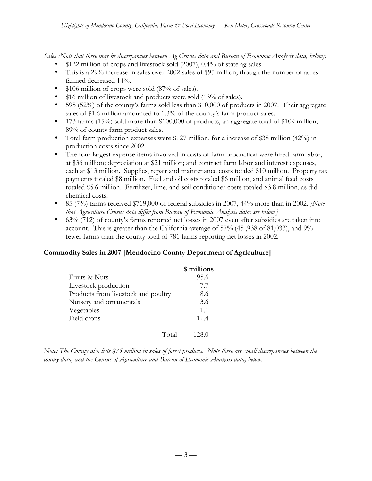*Sales (Note that there may be discrepancies between Ag Census data and Bureau of Economic Analysis data, below):*

- \$122 million of crops and livestock sold (2007), 0.4% of state ag sales.
- This is a 29% increase in sales over 2002 sales of \$95 million, though the number of acres farmed decreased 14%.
- \$106 million of crops were sold (87% of sales).
- \$16 million of livestock and products were sold (13% of sales).
- 595 (52%) of the county's farms sold less than \$10,000 of products in 2007. Their aggregate sales of \$1.6 million amounted to 1.3% of the county's farm product sales.
- 173 farms (15%) sold more than \$100,000 of products, an aggregate total of \$109 million, 89% of county farm product sales.
- Total farm production expenses were \$127 million, for a increase of \$38 million (42%) in production costs since 2002.
- The four largest expense items involved in costs of farm production were hired farm labor, at \$36 million; depreciation at \$21 million; and contract farm labor and interest expenses, each at \$13 million. Supplies, repair and maintenance costs totaled \$10 million. Property tax payments totaled \$8 million. Fuel and oil costs totaled \$6 million, and animal feed costs totaled \$5.6 million. Fertilizer, lime, and soil conditioner costs totaled \$3.8 million, as did chemical costs.
- 85 (7%) farms received \$719,000 of federal subsidies in 2007, 44% more than in 2002. *[Note that Agriculture Census data differ from Bureau of Economic Analysis data; see below.]*
- 63% (712) of county's farms reported net losses in 2007 even after subsidies are taken into account. This is greater than the California average of 57% (45 ,938 of 81,033), and 9% fewer farms than the county total of 781 farms reporting net losses in 2002.

# **Commodity Sales in 2007 [Mendocino County Department of Agriculture]**

|                                     | \$ millions |
|-------------------------------------|-------------|
| Fruits & Nuts                       | 95.6        |
| Livestock production                | 7.7         |
| Products from livestock and poultry | 8.6         |
| Nursery and ornamentals             | 3.6         |
| Vegetables                          | 1.1         |
| Field crops                         | 11.4        |
| Total                               | 128.0       |

*Note: The County also lists \$75 million in sales of forest products. Note there are small discrepancies between the county data, and the Census of Agriculture and Bureau of Economic Analysis data, below.*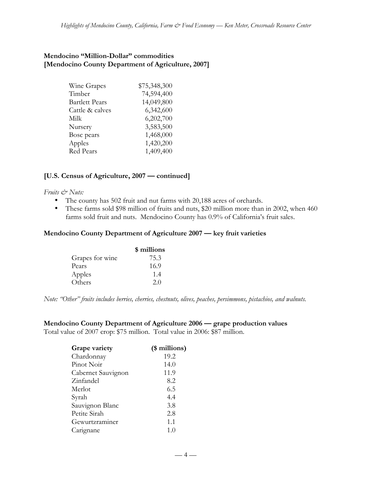## **Mendocino "Million-Dollar" commodities [Mendocino County Department of Agriculture, 2007]**

| Wine Grapes           | \$75,348,300 |
|-----------------------|--------------|
| Timber                | 74,594,400   |
| <b>Bartlett Pears</b> | 14,049,800   |
| Cattle & calves       | 6,342,600    |
| Milk                  | 6,202,700    |
| Nursery               | 3,583,500    |
| Bosc pears            | 1,468,000    |
| Apples                | 1,420,200    |
| Red Pears             | 1,409,400    |

## **[U.S. Census of Agriculture, 2007 — continued]**

#### *Fruits & Nuts:*

- The county has 502 fruit and nut farms with 20,188 acres of orchards.
- These farms sold \$98 million of fruits and nuts, \$20 million more than in 2002, when 460 farms sold fruit and nuts. Mendocino County has 0.9% of California's fruit sales.

#### **Mendocino County Department of Agriculture 2007 — key fruit varieties**

|                 | \$ millions |
|-----------------|-------------|
| Grapes for wine | 75.3        |
| Pears           | 16.9        |
| Apples          | 1.4         |
| Others          | 2.0         |

*Note: "Other" fruits includes berries, cherries, chestnuts, olives, peaches, persimmons, pistachios, and walnuts.*

# **Mendocino County Department of Agriculture 2006 — grape production values**

Total value of 2007 crop: \$75 million. Total value in 2006: \$87 million.

| (\$ millions) |
|---------------|
| 19.2          |
| 14.0          |
| 11.9          |
| 8.2           |
| 6.5           |
| 4.4           |
| 3.8           |
| 2.8           |
| 1.1           |
| 1.0           |
|               |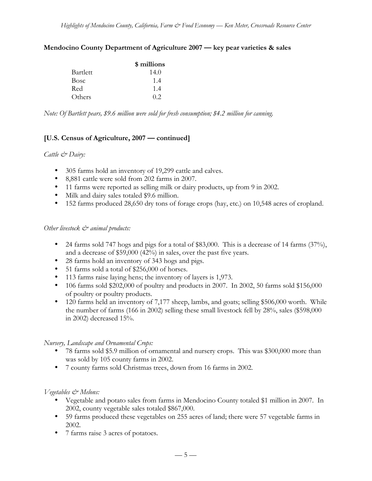#### **Mendocino County Department of Agriculture 2007 — key pear varieties & sales**

|             | \$ millions |
|-------------|-------------|
| Bartlett    | 14.0        |
| <b>Bosc</b> | 1.4         |
| Red         | 1.4         |
| Others      | (12)        |

*Note: Of Bartlett pears, \$9.6 million were sold for fresh consumption; \$4.2 million for canning.*

# **[U.S. Census of Agriculture, 2007 — continued]**

#### *Cattle & Dairy:*

- 305 farms hold an inventory of 19,299 cattle and calves.
- 8,881 cattle were sold from 202 farms in 2007.
- 11 farms were reported as selling milk or dairy products, up from 9 in 2002.
- Milk and dairy sales totaled \$9.6 million.
- 152 farms produced 28,650 dry tons of forage crops (hay, etc.) on 10,548 acres of cropland.

#### *Other livestock*  $\mathcal{O}^*$  animal products:

- 24 farms sold 747 hogs and pigs for a total of \$83,000. This is a decrease of 14 farms  $(37%)$ , and a decrease of \$59,000 (42%) in sales, over the past five years.
- 28 farms hold an inventory of 343 hogs and pigs.
- 51 farms sold a total of \$256,000 of horses.
- 113 farms raise laying hens; the inventory of layers is 1,973.
- 106 farms sold \$202,000 of poultry and products in 2007. In 2002, 50 farms sold \$156,000 of poultry or poultry products.
- 120 farms held an inventory of 7,177 sheep, lambs, and goats; selling \$506,000 worth. While the number of farms (166 in 2002) selling these small livestock fell by 28%, sales (\$598,000 in 2002) decreased 15%.

## *Nursery, Landscape and Ornamental Crops:*

- 78 farms sold \$5.9 million of ornamental and nursery crops. This was \$300,000 more than was sold by 105 county farms in 2002.
- 7 county farms sold Christmas trees, down from 16 farms in 2002.

## *Vegetables & Melons:*

- Vegetable and potato sales from farms in Mendocino County totaled \$1 million in 2007. In 2002, county vegetable sales totaled \$867,000.
- 59 farms produced these vegetables on 255 acres of land; there were 57 vegetable farms in 2002.
- 7 farms raise 3 acres of potatoes.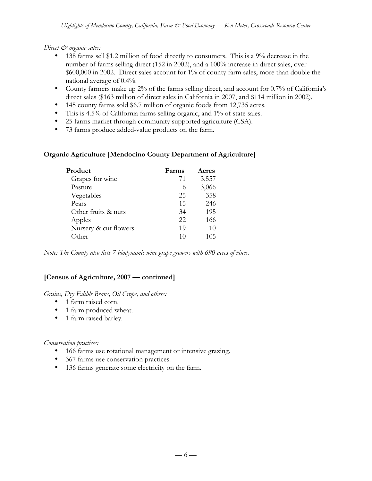*Direct*  $\mathcal{O}$  organic sales:

- 138 farms sell \$1.2 million of food directly to consumers. This is a 9% decrease in the number of farms selling direct (152 in 2002), and a 100% increase in direct sales, over \$600,000 in 2002. Direct sales account for 1% of county farm sales, more than double the national average of 0.4%.
- County farmers make up 2% of the farms selling direct, and account for 0.7% of California's direct sales (\$163 million of direct sales in California in 2007, and \$114 million in 2002).
- 145 county farms sold \$6.7 million of organic foods from 12,735 acres.
- This is 4.5% of California farms selling organic, and 1% of state sales.
- 25 farms market through community supported agriculture (CSA).
- 73 farms produce added-value products on the farm.

# **Organic Agriculture [Mendocino County Department of Agriculture]**

| Product               | Farms | Acres |
|-----------------------|-------|-------|
| Grapes for wine       | 71    | 3,557 |
| Pasture               | 6     | 3,066 |
| Vegetables            | 25    | 358   |
| Pears                 | 15    | 246   |
| Other fruits & nuts   | 34    | 195   |
| Apples                | 22    | 166   |
| Nursery & cut flowers | 19    | 10    |
| Other                 | 10    | 105   |

*Note: The County also lists 7 biodynamic wine grape growers with 690 acres of vines.*

# **[Census of Agriculture, 2007 — continued]**

## *Grains, Dry Edible Beans, Oil Crops, and others:*

- 1 farm raised corn.
- 1 farm produced wheat.
- 1 farm raised barley.

*Conservation practices:*

- 166 farms use rotational management or intensive grazing.
- 367 farms use conservation practices.
- 136 farms generate some electricity on the farm.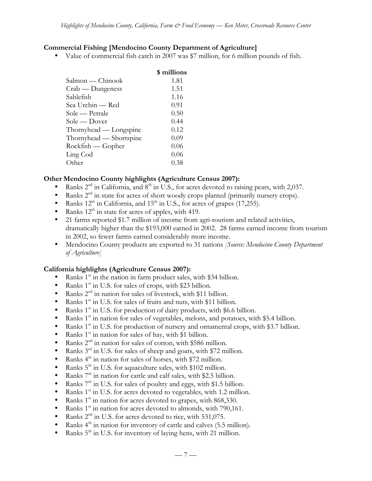# **Commercial Fishing [Mendocino County Department of Agriculture]**

• Value of commercial fish catch in 2007 was \$7 million, for 6 million pounds of fish.

| \$ millions |
|-------------|
| 1.81        |
| 1.51        |
| 1.16        |
| 0.91        |
| 0.50        |
| 0.44        |
| 0.12        |
| 0.09        |
| 0.06        |
| 0.06        |
| 0.38        |
|             |

# **Other Mendocino County highlights (Agriculture Census 2007):**

- Ranks  $2<sup>nd</sup>$  in California, and  $8<sup>th</sup>$  in U.S., for acres devoted to raising pears, with 2,037.
- Ranks  $2<sup>nd</sup>$  in state for acres of short woody crops planted (primarily nursery crops).
- Ranks  $12<sup>th</sup>$  in California, and  $15<sup>th</sup>$  in U.S., for acres of grapes (17,255).
- Ranks  $12<sup>th</sup>$  in state for acres of apples, with 419.
- 21 farms reported \$1.7 million of income from agri-tourism and related activities, dramatically higher than the \$193,000 earned in 2002. 28 farms earned income from tourism in 2002, so fewer farms earned considerably more income.
- Mendocino County products are exported to 31 nations *[Source: Mendocino County Department of Agriculture]*

## **California highlights (Agriculture Census 2007):**

- Ranks  $1<sup>st</sup>$  in the nation in farm product sales, with \$34 billion.
- Ranks 1<sup>st</sup> in U.S. for sales of crops, with \$23 billion.
- Ranks  $2<sup>nd</sup>$  in nation for sales of livestock, with \$11 billion.
- Ranks  $1<sup>st</sup>$  in U.S. for sales of fruits and nuts, with \$11 billion.
- Ranks  $1<sup>st</sup>$  in U.S. for production of dairy products, with \$6.6 billion.
- Ranks  $1<sup>st</sup>$  in nation for sales of vegetables, melons, and potatoes, with \$5.4 billion.
- Ranks  $1<sup>st</sup>$  in U.S. for production of nursery and ornamental crops, with \$3.7 billion.
- Ranks  $1<sup>st</sup>$  in nation for sales of hay, with \$1 billion.
- Ranks  $2<sup>nd</sup>$  in nation for sales of cotton, with \$586 million.<br>• Ranks  $3<sup>rd</sup>$  in U.S. for sales of sheep and goats, with \$72 mi
- Ranks  $3<sup>rd</sup>$  in U.S. for sales of sheep and goats, with \$72 million.
- Ranks  $4^{\text{th}}$  in nation for sales of horses, with \$72 million.<br>• Ranks  $5^{\text{th}}$  in U.S. for aquaculture sales, with \$102 million.
- Ranks 5<sup>th</sup> in U.S. for aquaculture sales, with \$102 million.
- Ranks  $7<sup>th</sup>$  in nation for cattle and calf sales, with \$2.5 billion.
- Ranks  $7<sup>th</sup>$  in U.S. for sales of poultry and eggs, with \$1.5 billion.
- Ranks  $1<sup>st</sup>$  in U.S. for acres devoted to vegetables, with 1.2 million.
- Ranks  $1<sup>st</sup>$  in nation for acres devoted to grapes, with 868,330.
- Ranks  $1<sup>st</sup>$  in nation for acres devoted to almonds, with 790,161.
- Ranks  $2^{nd}$  in U.S. for acres devoted to rice, with 531,075.<br>• Ranks  $4^{th}$  in nation for inventory of cattle and calves (5.5)
- Ranks  $4<sup>th</sup>$  in nation for inventory of cattle and calves (5.5 million).
- Ranks  $5<sup>th</sup>$  in U.S. for inventory of laying hens, with 21 million.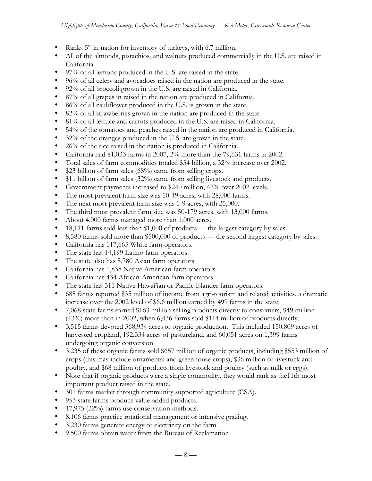- Ranks  $5<sup>th</sup>$  in nation for inventory of turkeys, with 6.7 million.
- All of the almonds, pistachios, and walnuts produced commercially in the U.S. are raised in California.
- 97% of all lemons produced in the U.S. are raised in the state.
- 96% of all celery and avocadoes raised in the nation are produced in the state.
- 92% of all broccoli grown in the U.S. are raised in California.
- 87% of all grapes in raised in the nation are produced in California.
- 86% of all cauliflower produced in the U.S. is grown in the state.
- 82% of all strawberries grown in the nation are produced in the state.
- 81% of all lettuce and carrots produced in the U.S. are raised in California.
- 54% of the tomatoes and peaches raised in the nation are produced in California.
- 32% of the oranges produced in the U.S. are grown in the state.
- 26% of the rice raised in the nation is produced in California.
- California had 81,033 farms in 2007, 2% more than the 79,631 farms in 2002.
- Total sales of farm commodities totaled \$34 billion, a 32% increase over 2002.
- \$23 billion of farm sales (68%) came from selling crops.
- \$11 billion of farm sales (32%) came from selling livestock and products.
- Government payments increased to \$240 million, 42% over 2002 levels.
- The most prevalent farm size was 10-49 acres, with 28,000 farms.
- The next most prevalent farm size was 1-9 acres, with 25,000.
- The third most prevalent farm size was 50-179 acres, with 13,000 farms.
- About 4,000 farms managed more than 1,000 acres.
- 18,111 farms sold less than \$1,000 of products the largest category by sales.
- 8,580 farms sold more than \$500,000 of products the second largest category by sales.
- California has 117,665 White farm operators.
- The state has 14,199 Latino farm operators.
- The state also has 5,780 Asian farm operators.
- California has 1,838 Native American farm operators.
- California has 434 African-American farm operators.
- The state has 311 Native Hawai'ian or Pacific Islander farm operators.
- 685 farms reported \$35 million of income from agri-tourism and related activities, a dramatic increase over the 2002 level of \$6.6 million earned by 499 farms in the state.
- 7,068 state farms earned \$163 million selling products directly to consumers, \$49 million (43%) more than in 2002, when 6,436 farms sold \$114 million of products directly.
- 3,515 farms devoted 368,934 acres to organic production. This included 150,809 acres of harvested cropland, 192,334 acres of pastureland, and 60,051 acres on 1,399 farms undergoing organic conversion.
- 3,235 of these organic farms sold \$657 million of organic products, including \$553 million of crops (this may include ornamental and greenhouse crops), \$36 million of livestock and poultry, and \$68 million of products from livestock and poultry (such as milk or eggs).
- Note that if organic products were a single commodity, they would rank as the 11th most important product raised in the state.
- 301 farms market through community supported agriculture (CSA).
- 953 state farms produce value-added products.
- 17,975 (22%) farms use conservation methods.
- 8,106 farms practice rotational management or intensive grazing.
- 3,230 farms generate energy or electricity on the farm.
- 9,500 farms obtain water from the Bureau of Reclamation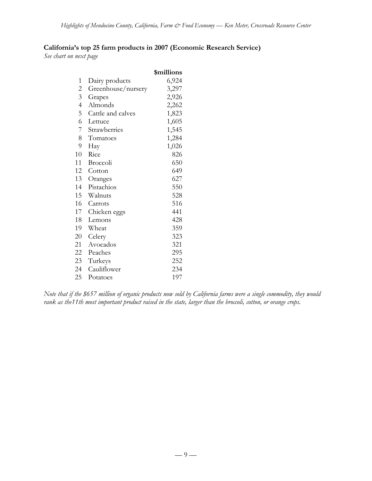# **California's top 25 farm products in 2007 (Economic Research Service)**

*See chart on next page*

|                |                    | \$millions |
|----------------|--------------------|------------|
| $\mathbf{1}$   | Dairy products     | 6,924      |
| $\overline{c}$ | Greenhouse/nursery | 3,297      |
| $\overline{3}$ | Grapes             | 2,926      |
| $\overline{4}$ | Almonds            | 2,262      |
| 5              | Cattle and calves  | 1,823      |
| 6              | Lettuce            | 1,605      |
| 7              | Strawberries       | 1,545      |
| 8              | Tomatoes           | 1,284      |
| 9              | Hay                | 1,026      |
| 10             | Rice               | 826        |
| 11             | Broccoli           | 650        |
| 12             | Cotton             | 649        |
| 13             | Oranges            | 627        |
| 14             | Pistachios         | 550        |
| 15             | Walnuts            | 528        |
| 16             | Carrots            | 516        |
| 17             | Chicken eggs       | 441        |
| 18             | Lemons             | 428        |
| 19             | Wheat              | 359        |
| 20             | Celery             | 323        |
| 21             | Avocados           | 321        |
| 22             | Peaches            | 295        |
| 23             | Turkeys            | 252        |
| 24             | Cauliflower        | 234        |
| 25             | Potatoes           | 197        |

*Note that if the \$657 million of organic products now sold by California farms were a single commodity, they would rank as the11th most important product raised in the state, larger than the broccoli, cotton, or orange crops.*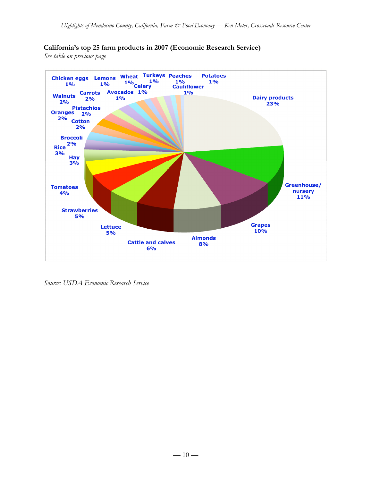# **California's top 25 farm products in 2007 (Economic Research Service)**

*See table on previous page*



*Source: USDA Economic Research Service*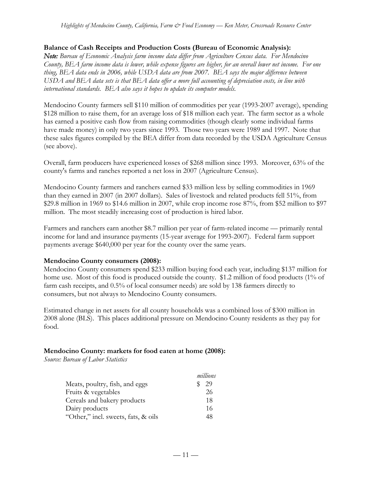## **Balance of Cash Receipts and Production Costs (Bureau of Economic Analysis):**

*Note: Bureau of Economic Analysis farm income data differ from Agriculture Census data. For Mendocino County, BEA farm income data is lower, while expense figures are higher, for an overall lower net income. For one thing, BEA data ends in 2006, while USDA data are from 2007. BEA says the major difference between USDA and BEA data sets is that BEA data offer a more full accounting of depreciation costs, in line with international standards. BEA also says it hopes to update its computer models.*

Mendocino County farmers sell \$110 million of commodities per year (1993-2007 average), spending \$128 million to raise them, for an average loss of \$18 million each year. The farm sector as a whole has earned a positive cash flow from raising commodities (though clearly some individual farms have made money) in only two years since 1993. Those two years were 1989 and 1997. Note that these sales figures compiled by the BEA differ from data recorded by the USDA Agriculture Census (see above).

Overall, farm producers have experienced losses of \$268 million since 1993. Moreover, 63% of the county's farms and ranches reported a net loss in 2007 (Agriculture Census).

Mendocino County farmers and ranchers earned \$33 million less by selling commodities in 1969 than they earned in 2007 (in 2007 dollars). Sales of livestock and related products fell 51%, from \$29.8 million in 1969 to \$14.6 million in 2007, while crop income rose 87%, from \$52 million to \$97 million. The most steadily increasing cost of production is hired labor.

Farmers and ranchers earn another \$8.7 million per year of farm-related income — primarily rental income for land and insurance payments (15-year average for 1993-2007). Federal farm support payments average \$640,000 per year for the county over the same years.

## **Mendocino County consumers (2008):**

Mendocino County consumers spend \$233 million buying food each year, including \$137 million for home use. Most of this food is produced outside the county. \$1.2 million of food products (1% of farm cash receipts, and 0.5% of local consumer needs) are sold by 138 farmers directly to consumers, but not always to Mendocino County consumers.

Estimated change in net assets for all county households was a combined loss of \$300 million in 2008 alone (BLS). This places additional pressure on Mendocino County residents as they pay for food.

## **Mendocino County: markets for food eaten at home (2008):**

*Source: Bureau of Labor Statistics*

| millions |
|----------|
| 29       |
| 26       |
| 18       |
| 16       |
| 48       |
|          |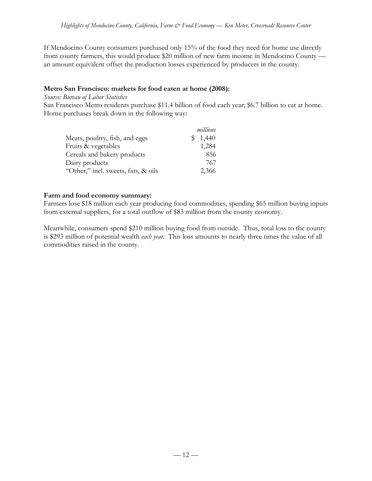If Mendocino County consumers purchased only 15% of the food they need for home use directly from county farmers, this would produce \$20 million of new farm income in Mendocino County an amount equivalent offset the production losses experienced by producers in the county.

# **Metro San Francisco: markets for food eaten at home (2008):**

*Source: Bureau of Labor Statistics*

San Francisco Metro residents purchase \$11.4 billion of food each year; \$6.7 billion to eat at home. Home purchases break down in the following way:

|                                     | millions |
|-------------------------------------|----------|
| Meats, poultry, fish, and eggs      | 1,440    |
| Fruits & vegetables                 | 1,284    |
| Cereals and bakery products         | 856      |
| Dairy products                      | 767      |
| "Other," incl. sweets, fats, & oils | 2,366    |

# **Farm and food economy summary:**

Farmers lose \$18 million each year producing food commodities, spending \$65 million buying inputs from external suppliers, for a total outflow of \$83 million from the county economy.

Meanwhile, consumers spend \$210 million buying food from outside. Thus, total loss to the county is \$293 million of potential wealth *each year*. This loss amounts to nearly three times the value of all commodities raised in the county.